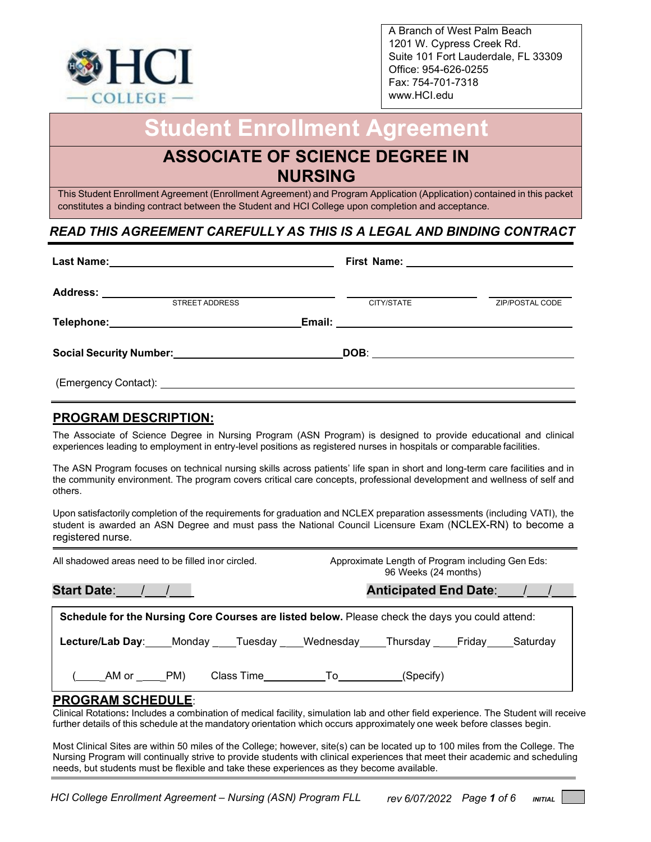

A Branch of West Palm Beach 1201 W. Cypress Creek Rd. Suite 101 Fort Lauderdale, FL 33309 Office: 954-626-0255 Fax: 754-701-7318 www.HCI.edu

# **Student Enrollment Agreement**

## **ASSOCIATE OF SCIENCE D[EGREE I](http://www.hci.edu/)N NURSING**

This Student Enrollment Agreement (Enrollment Agreement) and Program Application (Application) contained in this packet constitutes a binding contract between the Student and HCI College upon completion and acceptance.

## *READ THIS AGREEMENT CAREFULLY AS THIS IS A LEGAL AND BINDING CONTRACT*

| <b>STREET ADDRESS</b>                                      | CITY/STATE | ZIP/POSTAL CODE |
|------------------------------------------------------------|------------|-----------------|
|                                                            |            |                 |
| Social Security Number:<br><u> Social Security Number:</u> |            |                 |
|                                                            |            |                 |

## **PROGRAM DESCRIPTION:**

The Associate of Science Degree in Nursing Program (ASN Program) is designed to provide educational and clinical experiences leading to employment in entry-level positions as registered nurses in hospitals or comparable facilities.

The ASN Program focuses on technical nursing skills across patients' life span in short and long-term care facilities and in the community environment. The program covers critical care concepts, professional development and wellness of self and others.

Upon satisfactorily completion of the requirements for graduation and NCLEX preparation assessments (including VATI), the student is awarded an ASN Degree and must pass the National Council Licensure Exam (NCLEX-RN) to become a registered nurse.

| All shadowed areas need to be filled inor circled.                                              | Approximate Length of Program including Gen Eds:<br>96 Weeks (24 months)             |  |  |  |
|-------------------------------------------------------------------------------------------------|--------------------------------------------------------------------------------------|--|--|--|
|                                                                                                 | Anticipated End Date: //                                                             |  |  |  |
| Schedule for the Nursing Core Courses are listed below. Please check the days you could attend: |                                                                                      |  |  |  |
|                                                                                                 | Lecture/Lab Day: Monday ___Tuesday ___Wednesday ____Thursday ____Friday ____Saturday |  |  |  |
| (AM or PM)                                                                                      | Class Time________________To____________(Specify)                                    |  |  |  |

#### **PROGRAM SCHEDULE**:

Clinical Rotations**:** Includes a combination of medical facility, simulation lab and other field experience. The Student will receive further details of this schedule at the mandatory orientation which occurs approximately one week before classes begin.

Most Clinical Sites are within 50 miles of the College; however, site(s) can be located up to 100 miles from the College. The Nursing Program will continually strive to provide students with clinical experiences that meet their academic and scheduling needs, but students must be flexible and take these experiences as they become available.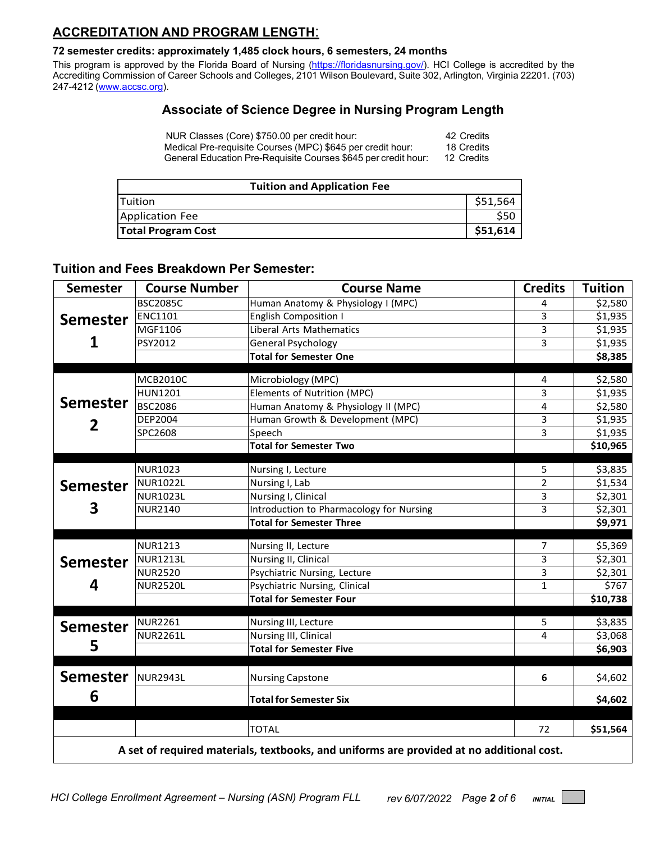## **ACCREDITATION AND PROGRAM LENGTH**:

#### **72 semester credits: approximately 1,485 clock hours, 6 semesters, 24 months**

This program is approved by the Florida Board of Nursing [\(https://floridasnursing.gov/\)](https://floridasnursing.gov/). HCI College is accredited by the Accrediting Commission of Career Schools and Colleges, 2101 Wilson Boulevard, Suite 302, Arlington, Virginia 22201. (703) 247-4212 [\(www.accsc.org\)](http://www.accsc.org/).

## **Associate of Science Degree in Nursing Program Length**

| NUR Classes (Core) \$750.00 per credit hour:                   | 42 Credits |
|----------------------------------------------------------------|------------|
| Medical Pre-requisite Courses (MPC) \$645 per credit hour:     | 18 Credits |
| General Education Pre-Requisite Courses \$645 per credit hour: | 12 Credits |

| <b>Tuition and Application Fee</b> |          |  |
|------------------------------------|----------|--|
| <b>ITuition</b>                    | \$51,564 |  |
| Application Fee                    |          |  |
| <b>Total Program Cost</b>          | \$51,614 |  |

#### **Tuition and Fees Breakdown Per Semester:**

| <b>Semester</b> | <b>Course Number</b> | <b>Course Name</b>                                                                                       | <b>Credits</b> | <b>Tuition</b> |
|-----------------|----------------------|----------------------------------------------------------------------------------------------------------|----------------|----------------|
|                 | <b>BSC2085C</b>      | Human Anatomy & Physiology I (MPC)                                                                       | 4              | \$2,580        |
| <b>Semester</b> | <b>ENC1101</b>       | <b>English Composition I</b>                                                                             | 3              | \$1,935        |
| 1               | MGF1106              | <b>Liberal Arts Mathematics</b>                                                                          | $\overline{3}$ | \$1,935        |
|                 | PSY2012              | <b>General Psychology</b>                                                                                | 3              | \$1,935        |
|                 |                      | <b>Total for Semester One</b>                                                                            |                | \$8,385        |
|                 | <b>MCB2010C</b>      | Microbiology (MPC)                                                                                       | 4              | \$2,580        |
|                 | <b>HUN1201</b>       | Elements of Nutrition (MPC)                                                                              | 3              | \$1,935        |
| <b>Semester</b> | <b>BSC2086</b>       | Human Anatomy & Physiology II (MPC)                                                                      | 4              | \$2,580        |
|                 | DEP2004              | Human Growth & Development (MPC)                                                                         | 3              | \$1,935        |
| 2               | SPC2608              | Speech                                                                                                   | 3              | \$1,935        |
|                 |                      | <b>Total for Semester Two</b>                                                                            |                | \$10,965       |
|                 |                      |                                                                                                          |                |                |
|                 | <b>NUR1023</b>       | Nursing I, Lecture                                                                                       | 5              | \$3,835        |
| <b>Semester</b> | <b>NUR1022L</b>      | Nursing I, Lab                                                                                           | $\overline{2}$ | \$1,534        |
|                 | <b>NUR1023L</b>      | Nursing I, Clinical                                                                                      | 3              | \$2,301        |
| 3               | <b>NUR2140</b>       | Introduction to Pharmacology for Nursing                                                                 | 3              | \$2,301        |
|                 |                      | <b>Total for Semester Three</b>                                                                          |                | \$9,971        |
|                 | <b>NUR1213</b>       | Nursing II, Lecture                                                                                      | $\overline{7}$ | \$5,369        |
| <b>Semester</b> | <b>NUR1213L</b>      | Nursing II, Clinical                                                                                     | 3              | \$2,301        |
|                 | <b>NUR2520</b>       | Psychiatric Nursing, Lecture                                                                             | 3              | \$2,301        |
| 4               | <b>NUR2520L</b>      | Psychiatric Nursing, Clinical                                                                            | $\mathbf{1}$   | \$767          |
|                 |                      | <b>Total for Semester Four</b>                                                                           |                | \$10,738       |
| <b>Semester</b> | <b>NUR2261</b>       | Nursing III, Lecture                                                                                     | 5              | \$3,835        |
|                 | <b>NUR2261L</b>      | Nursing III, Clinical                                                                                    | 4              | \$3,068        |
| 5               |                      | <b>Total for Semester Five</b>                                                                           |                | \$6,903        |
|                 |                      |                                                                                                          |                |                |
| <b>Semester</b> | NUR2943L             | <b>Nursing Capstone</b>                                                                                  | 6              | \$4,602        |
| 6               |                      | <b>Total for Semester Six</b>                                                                            |                | \$4,602        |
|                 |                      |                                                                                                          |                |                |
|                 |                      |                                                                                                          |                | \$51,564       |
|                 |                      | <b>TOTAL</b><br>A set of required materials, textbooks, and uniforms are provided at no additional cost. | 72             |                |

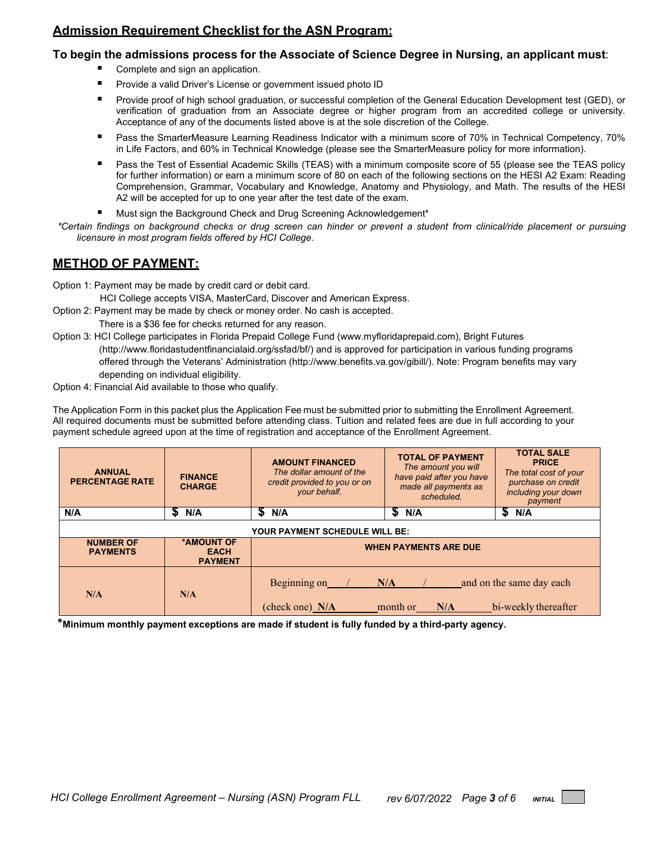## **Admission Requirement Checklist for the ASN Program:**

#### **To begin the admissions process for the Associate of Science Degree in Nursing, an applicant must**:

- Complete and sign an application.
- Provide a valid Driver's License or government issued photo ID
- Provide proof of high school graduation, or successful completion of the General Education Development test (GED), or verification of graduation from an Associate degree or higher program from an accredited college or university. Acceptance of any of the documents listed above is at the sole discretion of the College.
- Pass the SmarterMeasure Learning Readiness Indicator with a minimum score of 70% in Technical Competency, 70% in Life Factors, and 60% in Technical Knowledge (please see the SmarterMeasure policy for more information).
- **Pass the Test of Essential Academic Skills (TEAS) with a minimum composite score of 55 (please see the TEAS policy** for further information) or earn a minimum score of 80 on each of the following sections on the HESI A2 Exam: Reading Comprehension, Grammar, Vocabulary and Knowledge, Anatomy and Physiology, and Math. The results of the HESI A2 will be accepted for up to one year after the test date of the exam.
- Must sign the Background Check and Drug Screening Acknowledgement\*
- *\*Certain findings on background checks or drug screen can hinder or prevent a student from clinical/ride placement or pursuing licensure in most program fields offered by HCI College.*

## **METHOD OF PAYMENT:**

Option 1: Payment may be made by credit card or debit card.

HCI College accepts VISA, MasterCard, Discover and American Express.

- Option 2: Payment may be made by check or money order. No cash is accepted.
	- There is a \$36 fee for checks returned for any reason.
- Option 3: HCI College participates in Florida Prepaid College Fund (www.myfloridaprepaid.com), Bright Futures [\(http://www.floridastudentfinancialaid.org/ssfad/bf/\)](http://www.floridastudentfinancialaid.org/ssfad/bf/) and is approved for participation in various funding programs offered through the Veterans' Administration [\(http://www.benefits.va.gov/gibill/\)](http://www.benefits.va.gov/gibill/). Note: Program benefits may vary depending on individual eligibility.
- Option 4: Financial Aid available to those who qualify.

The Application Form in this packet plus the Application Fee must be submitted prior to submitting the Enrollment Agreement. All required documents must be submitted before attending class. Tuition and related fees are due in full according to your payment schedule agreed upon at the time of registration and acceptance of the Enrollment Agreement.

| <b>ANNUAL</b><br><b>PERCENTAGE RATE</b> | <b>FINANCE</b><br><b>CHARGE</b>             | <b>AMOUNT FINANCED</b><br>The dollar amount of the<br>credit provided to you or on<br>your behalf. | <b>TOTAL OF PAYMENT</b><br>The amount you will<br>have paid after you have<br>made all payments as<br>scheduled. | <b>TOTAL SALE</b><br><b>PRICE</b><br>The total cost of your<br>purchase on credit<br>including your down<br>payment |
|-----------------------------------------|---------------------------------------------|----------------------------------------------------------------------------------------------------|------------------------------------------------------------------------------------------------------------------|---------------------------------------------------------------------------------------------------------------------|
| N/A                                     | N/A<br>JЭ                                   | N/A                                                                                                | S<br>N/A                                                                                                         | 5<br>N/A                                                                                                            |
| <b>YOUR PAYMENT SCHEDULE WILL BE:</b>   |                                             |                                                                                                    |                                                                                                                  |                                                                                                                     |
| <b>NUMBER OF</b><br><b>PAYMENTS</b>     | *AMOUNT OF<br><b>EACH</b><br><b>PAYMENT</b> | <b>WHEN PAYMENTS ARE DUE</b>                                                                       |                                                                                                                  |                                                                                                                     |
| N/A                                     | N/A                                         | Beginning on<br>(check one) N/A                                                                    | N/A<br>month or<br>N/A                                                                                           | and on the same day each<br>bi-weekly thereafter                                                                    |

**\*Minimum monthly payment exceptions are made if student is fully funded by a third-party agency.**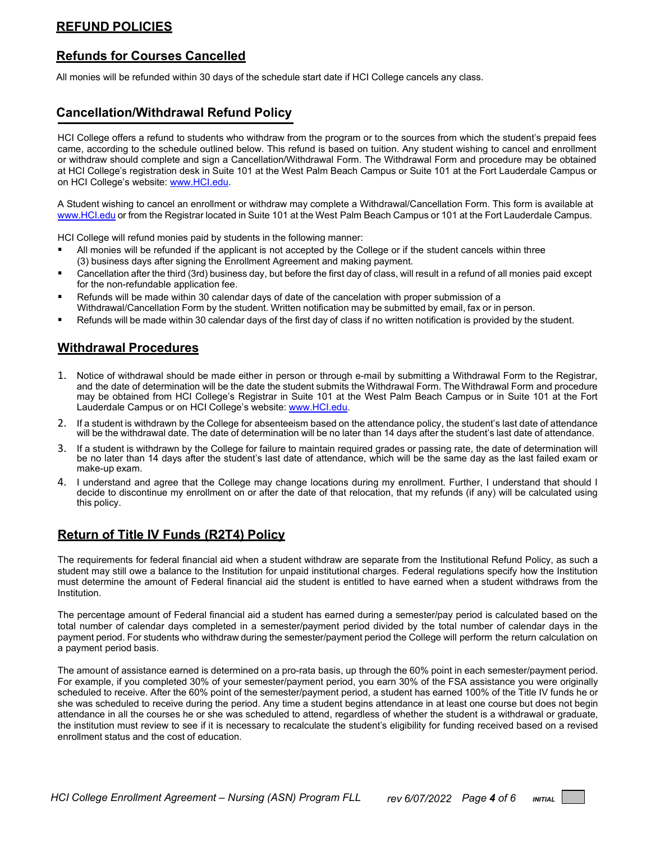## **REFUND POLICIES**

## **Refunds for Courses Cancelled**

All monies will be refunded within 30 days of the schedule start date if HCI College cancels any class.

## **Cancellation/Withdrawal Refund Policy**

HCI College offers a refund to students who withdraw from the program or to the sources from which the student's prepaid fees came, according to the schedule outlined below. This refund is based on tuition. Any student wishing to cancel and enrollment or withdraw should complete and sign a Cancellation/Withdrawal Form. The Withdrawal Form and procedure may be obtained at HCI College's registration desk in Suite 101 at the West Palm Beach Campus or Suite 101 at the Fort Lauderdale Campus or on HCI College's website: [www.HCI.edu.](http://www.hci.edu/)

A Student wishing to cancel an enrollment or withdraw may complete a Withdrawal/Cancellation Form. This form is available at [www.HCI.edu](http://www.hci.edu/) or from the Registrar located in Suite 101 at the West Palm Beach Campus or 101 at the Fort Lauderdale Campus.

HCI College will refund monies paid by students in the following manner:

- All monies will be refunded if the applicant is not accepted by the College or if the student cancels within three (3) business days after signing the Enrollment Agreement and making payment.
- Cancellation after the third (3rd) business day, but before the first day of class, will result in a refund of all monies paid except for the non-refundable application fee.
- Refunds will be made within 30 calendar days of date of the cancelation with proper submission of a Withdrawal/Cancellation Form by the student. Written notification may be submitted by email, fax or in person.
- Refunds will be made within 30 calendar days of the first day of class if no written notification is provided by the student.

#### **Withdrawal Procedures**

- 1. Notice of withdrawal should be made either in person or through e-mail by submitting a Withdrawal Form to the Registrar, and the date of determination will be the date the student submits the Withdrawal Form. The Withdrawal Form and procedure may be obtained from HCI College's Registrar in Suite 101 at the West Palm Beach Campus or in Suite 101 at the Fort Lauderdale Campus or on HCI College's website: [www.HCI.edu.](http://www.hci.edu/)
- 2. If a student is withdrawn by the College for absenteeism based on the attendance policy, the student's last date of attendance will be the withdrawal date. The date of determination will be no later than 14 days after the student's last date of attendance.
- 3. If a student is withdrawn by the College for failure to maintain required grades or passing rate, the date of determination will be no later than 14 days after the student's last date of attendance, which will be the same day as the last failed exam or make-up exam.
- 4. I understand and agree that the College may change locations during my enrollment. Further, I understand that should I decide to discontinue my enrollment on or after the date of that relocation, that my refunds (if any) will be calculated using this policy.

#### **Return of Title IV Funds (R2T4) Policy**

The requirements for federal financial aid when a student withdraw are separate from the Institutional Refund Policy, as such a student may still owe a balance to the Institution for unpaid institutional charges. Federal regulations specify how the Institution must determine the amount of Federal financial aid the student is entitled to have earned when a student withdraws from the Institution.

The percentage amount of Federal financial aid a student has earned during a semester/pay period is calculated based on the total number of calendar days completed in a semester/payment period divided by the total number of calendar days in the payment period. For students who withdraw during the semester/payment period the College will perform the return calculation on a payment period basis.

The amount of assistance earned is determined on a pro-rata basis, up through the 60% point in each semester/payment period. For example, if you completed 30% of your semester/payment period, you earn 30% of the FSA assistance you were originally scheduled to receive. After the 60% point of the semester/payment period, a student has earned 100% of the Title IV funds he or she was scheduled to receive during the period. Any time a student begins attendance in at least one course but does not begin attendance in all the courses he or she was scheduled to attend, regardless of whether the student is a withdrawal or graduate, the institution must review to see if it is necessary to recalculate the student's eligibility for funding received based on a revised enrollment status and the cost of education.

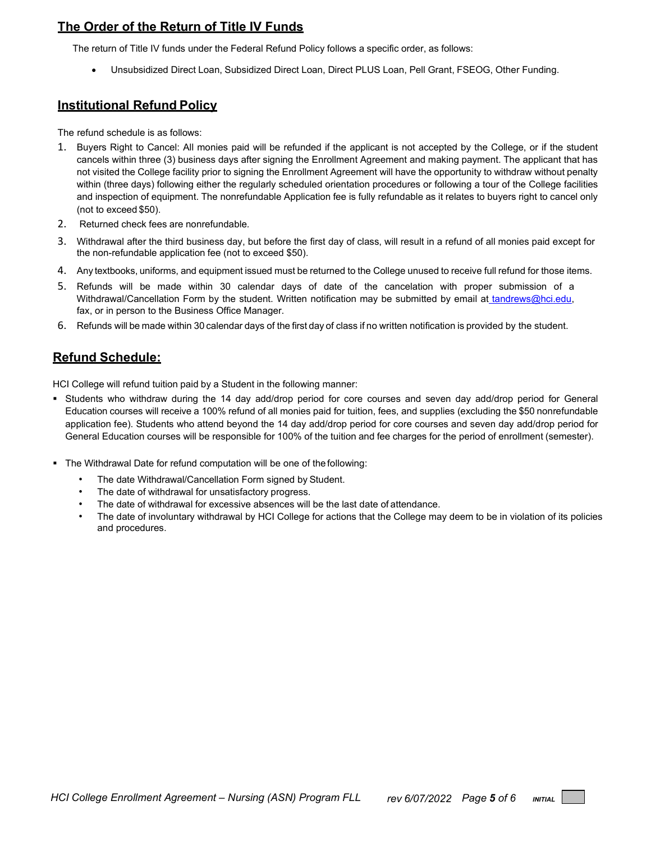## **The Order of the Return of Title IV Funds**

The return of Title IV funds under the Federal Refund Policy follows a specific order, as follows:

• Unsubsidized Direct Loan, Subsidized Direct Loan, Direct PLUS Loan, Pell Grant, FSEOG, Other Funding.

### **Institutional Refund Policy**

The refund schedule is as follows:

- 1. Buyers Right to Cancel: All monies paid will be refunded if the applicant is not accepted by the College, or if the student cancels within three (3) business days after signing the Enrollment Agreement and making payment. The applicant that has not visited the College facility prior to signing the Enrollment Agreement will have the opportunity to withdraw without penalty within (three days) following either the regularly scheduled orientation procedures or following a tour of the College facilities and inspection of equipment. The nonrefundable Application fee is fully refundable as it relates to buyers right to cancel only (not to exceed \$50).
- 2. Returned check fees are nonrefundable*.*
- 3. Withdrawal after the third business day, but before the first day of class, will result in a refund of all monies paid except for the non-refundable application fee (not to exceed \$50).
- 4. Any textbooks, uniforms, and equipment issued must be returned to the College unused to receive full refund for those items.
- 5. Refunds will be made within 30 calendar days of date of the cancelation with proper submission of a Withdrawal/Cancellation Form by the student. Written notification may be submitted by email at [tandrews@hci.edu,](mailto:tandrews@hci.edu) [fa](mailto:tandrews@hci.edu)x, or in person to the Business Office Manager.
- 6. Refunds will be made within 30 calendar days of the first day of class if no written notification is provided by the student.

## **Refund Schedule:**

HCI College will refund tuition paid by a Student in the following manner:

- Students who withdraw during the 14 day add/drop period for core courses and seven day add/drop period for General Education courses will receive a 100% refund of all monies paid for tuition, fees, and supplies (excluding the \$50 nonrefundable application fee). Students who attend beyond the 14 day add/drop period for core courses and seven day add/drop period for General Education courses will be responsible for 100% of the tuition and fee charges for the period of enrollment (semester).
- The Withdrawal Date for refund computation will be one of the following:
	- The date Withdrawal/Cancellation Form signed by Student.
	- The date of withdrawal for unsatisfactory progress.
	- The date of withdrawal for excessive absences will be the last date of attendance.
	- The date of involuntary withdrawal by HCI College for actions that the College may deem to be in violation of its policies and procedures.